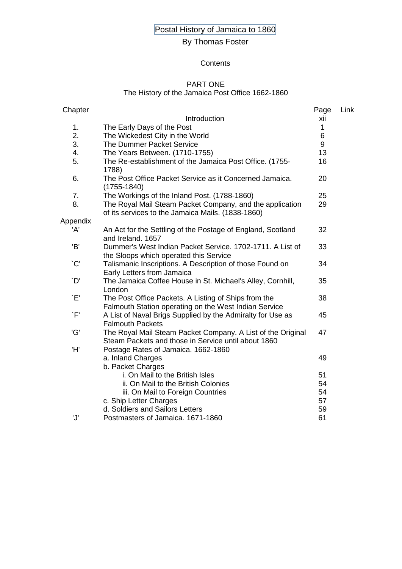# Postal History of Jamaica to 1860

# By Thomas Foster

#### **Contents**

### PART ONE

#### The History of the Jamaica Post Office 1662-1860

| Chapter   |                                                                                                                    | Page | Link |
|-----------|--------------------------------------------------------------------------------------------------------------------|------|------|
|           | Introduction                                                                                                       | xii  |      |
| 1.        | The Early Days of the Post                                                                                         | 1    |      |
| 2.        | The Wickedest City in the World                                                                                    | 6    |      |
| 3.        | The Dummer Packet Service                                                                                          | 9    |      |
| 4.        | The Years Between. (1710-1755)                                                                                     | 13   |      |
| 5.        | The Re-establishment of the Jamaica Post Office. (1755-<br>1788)                                                   | 16   |      |
| 6.        | The Post Office Packet Service as it Concerned Jamaica.<br>$(1755 - 1840)$                                         | 20   |      |
| 7.        | The Workings of the Inland Post. (1788-1860)                                                                       | 25   |      |
| 8.        | The Royal Mail Steam Packet Company, and the application<br>of its services to the Jamaica Mails. (1838-1860)      | 29   |      |
| Appendix  |                                                                                                                    |      |      |
| 'A'       | An Act for the Settling of the Postage of England, Scotland<br>and Ireland, 1657                                   | 32   |      |
| 'B'       | Dummer's West Indian Packet Service. 1702-1711. A List of<br>the Sloops which operated this Service                | 33   |      |
| $\cdot$ C | Talismanic Inscriptions. A Description of those Found on<br>Early Letters from Jamaica                             | 34   |      |
| `D'       | The Jamaica Coffee House in St. Michael's Alley, Cornhill,<br>London                                               | 35   |      |
| `E'       | The Post Office Packets. A Listing of Ships from the<br>Falmouth Station operating on the West Indian Service      | 38   |      |
| `F'       | A List of Naval Brigs Supplied by the Admiralty for Use as<br><b>Falmouth Packets</b>                              | 45   |      |
| 'G'       | The Royal Mail Steam Packet Company. A List of the Original<br>Steam Packets and those in Service until about 1860 | 47   |      |
| 'H'       | Postage Rates of Jamaica. 1662-1860<br>a. Inland Charges                                                           | 49   |      |
|           | b. Packet Charges                                                                                                  |      |      |
|           | i. On Mail to the British Isles                                                                                    | 51   |      |
|           | ii. On Mail to the British Colonies                                                                                | 54   |      |
|           | iii. On Mail to Foreign Countries                                                                                  | 54   |      |
|           | c. Ship Letter Charges                                                                                             | 57   |      |
|           | d. Soldiers and Sailors Letters                                                                                    | 59   |      |
| 'J'       | Postmasters of Jamaica. 1671-1860                                                                                  | 61   |      |